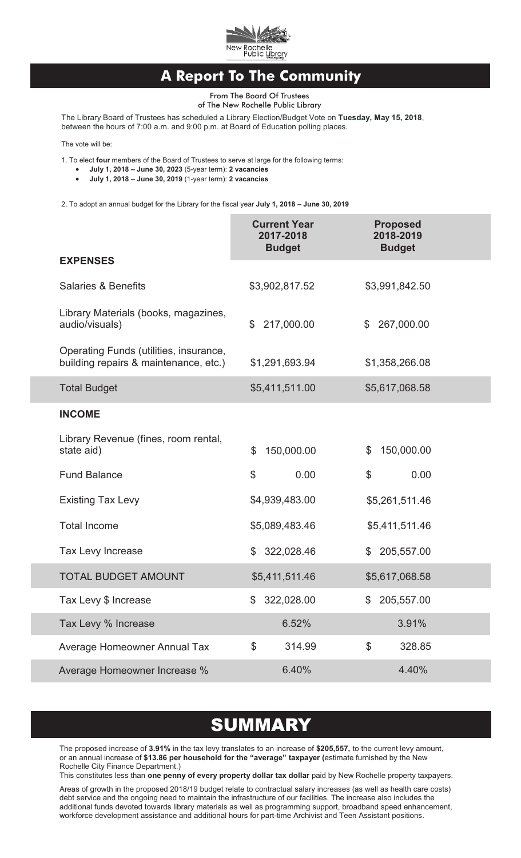

## **A Report To The Community**

From The Board Of Trustees of The New Rochelle Public Library

The Library Board of Trustees has scheduled a Library Election/Budget Vote on **Tuesday, May 15, 2018**,

between the hours of 7:00 a.m. and 9:00 p.m. at Board of Education polling places.

The vote will be:

1. To elect **four** members of the Board of Trustees to serve at large for the following terms:<br>• July 1, 2018 – June 30, 2023 (5-year term): 2 vacancies

- 
- ·**July 1, 2018 – June 30, 2023** (5-year term): **2 vacancies July 1, 2018 – June 30, 2019** (1-year term): **2 vacancies**

2. To adopt an annual budget for the Library for the fiscal year **July 1, 2018 – June 30, 2019**

|                                                                                 | <b>Current Year</b><br>2017-2018<br><b>Budget</b> | <b>Proposed</b><br>2018-2019<br><b>Budget</b> |
|---------------------------------------------------------------------------------|---------------------------------------------------|-----------------------------------------------|
| <b>EXPENSES</b>                                                                 |                                                   |                                               |
| <b>Salaries &amp; Benefits</b>                                                  | \$3,902,817.52                                    | \$3,991,842.50                                |
| Library Materials (books, magazines,<br>audio/visuals)                          | 217,000.00<br>\$                                  | \$267,000.00                                  |
| Operating Funds (utilities, insurance,<br>building repairs & maintenance, etc.) | \$1,291,693.94                                    | \$1,358,266.08                                |
| <b>Total Budget</b>                                                             | \$5,411,511.00                                    | \$5,617,068.58                                |
| <b>INCOME</b>                                                                   |                                                   |                                               |
| Library Revenue (fines, room rental,<br>state aid)                              | $\mathfrak{L}$<br>150,000.00                      | 150,000.00<br>\$                              |
| <b>Fund Balance</b>                                                             | \$<br>0.00                                        | \$<br>0.00                                    |
| <b>Existing Tax Levy</b>                                                        | \$4,939,483.00                                    | \$5,261,511.46                                |
| <b>Total Income</b>                                                             | \$5,089,483.46                                    | \$5,411,511.46                                |
| Tax Levy Increase                                                               | \$5,322,028.46                                    | \$5,205,557.00                                |
| <b>TOTAL BUDGET AMOUNT</b>                                                      | \$5,411,511.46                                    | \$5,617,068.58                                |
| Tax Levy \$ Increase                                                            | 322,028.00                                        | \$ 205,557.00                                 |
| Tax Levy % Increase                                                             | 6.52%                                             | 3.91%                                         |
| Average Homeowner Annual Tax                                                    | \$<br>314.99                                      | \$<br>328.85                                  |
| Average Homeowner Increase %                                                    | 6.40%                                             | 4.40%                                         |

# **SUMMARY**

The proposed increase of **3.91%** in the tax levy translates to an increase of **\$205,557,** to the current levy amount, or an annual increase of **\$13.86 per household for the "average" taxpayer (**estimate furnished by the New Rochelle City Finance Department.)

This constitutes less than **one penny of every property dollar tax dollar** paid by New Rochelle property taxpayers.

Areas of growth in the proposed 2018/19 budget relate to contractual salary increases (as well as health care costs) debt service and the ongoing need to maintain the infrastructure of our facilities. The increase also includes the additional funds devoted towards library materials as well as programming support, broadband speed enhancement, workforce development assistance and additional hours for part-time Archivist and Teen Assistant positions.